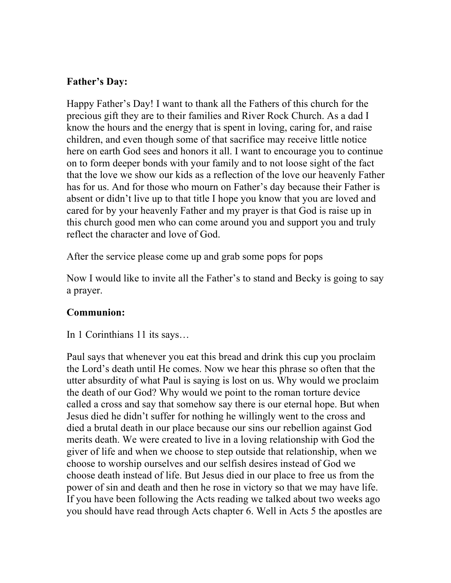### **Father's Day:**

Happy Father's Day! I want to thank all the Fathers of this church for the precious gift they are to their families and River Rock Church. As a dad I know the hours and the energy that is spent in loving, caring for, and raise children, and even though some of that sacrifice may receive little notice here on earth God sees and honors it all. I want to encourage you to continue on to form deeper bonds with your family and to not loose sight of the fact that the love we show our kids as a reflection of the love our heavenly Father has for us. And for those who mourn on Father's day because their Father is absent or didn't live up to that title I hope you know that you are loved and cared for by your heavenly Father and my prayer is that God is raise up in this church good men who can come around you and support you and truly reflect the character and love of God.

After the service please come up and grab some pops for pops

Now I would like to invite all the Father's to stand and Becky is going to say a prayer.

## **Communion:**

In 1 Corinthians 11 its says…

Paul says that whenever you eat this bread and drink this cup you proclaim the Lord's death until He comes. Now we hear this phrase so often that the utter absurdity of what Paul is saying is lost on us. Why would we proclaim the death of our God? Why would we point to the roman torture device called a cross and say that somehow say there is our eternal hope. But when Jesus died he didn't suffer for nothing he willingly went to the cross and died a brutal death in our place because our sins our rebellion against God merits death. We were created to live in a loving relationship with God the giver of life and when we choose to step outside that relationship, when we choose to worship ourselves and our selfish desires instead of God we choose death instead of life. But Jesus died in our place to free us from the power of sin and death and then he rose in victory so that we may have life. If you have been following the Acts reading we talked about two weeks ago you should have read through Acts chapter 6. Well in Acts 5 the apostles are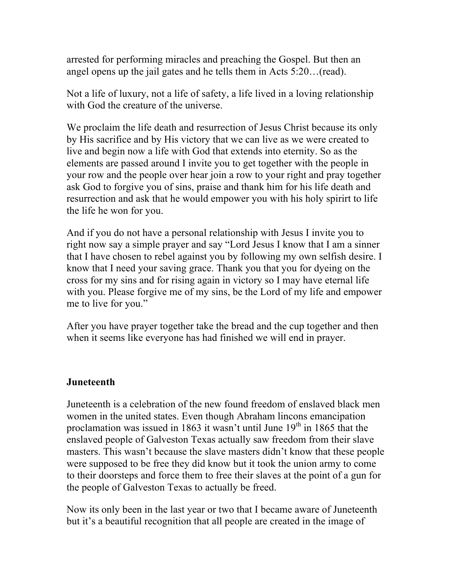arrested for performing miracles and preaching the Gospel. But then an angel opens up the jail gates and he tells them in Acts 5:20…(read).

Not a life of luxury, not a life of safety, a life lived in a loving relationship with God the creature of the universe.

We proclaim the life death and resurrection of Jesus Christ because its only by His sacrifice and by His victory that we can live as we were created to live and begin now a life with God that extends into eternity. So as the elements are passed around I invite you to get together with the people in your row and the people over hear join a row to your right and pray together ask God to forgive you of sins, praise and thank him for his life death and resurrection and ask that he would empower you with his holy spirirt to life the life he won for you.

And if you do not have a personal relationship with Jesus I invite you to right now say a simple prayer and say "Lord Jesus I know that I am a sinner that I have chosen to rebel against you by following my own selfish desire. I know that I need your saving grace. Thank you that you for dyeing on the cross for my sins and for rising again in victory so I may have eternal life with you. Please forgive me of my sins, be the Lord of my life and empower me to live for you."

After you have prayer together take the bread and the cup together and then when it seems like everyone has had finished we will end in prayer.

#### **Juneteenth**

Juneteenth is a celebration of the new found freedom of enslaved black men women in the united states. Even though Abraham lincons emancipation proclamation was issued in 1863 it wasn't until June  $19<sup>th</sup>$  in 1865 that the enslaved people of Galveston Texas actually saw freedom from their slave masters. This wasn't because the slave masters didn't know that these people were supposed to be free they did know but it took the union army to come to their doorsteps and force them to free their slaves at the point of a gun for the people of Galveston Texas to actually be freed.

Now its only been in the last year or two that I became aware of Juneteenth but it's a beautiful recognition that all people are created in the image of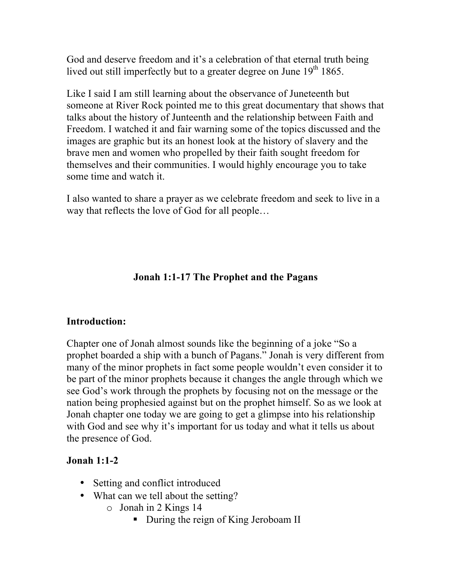God and deserve freedom and it's a celebration of that eternal truth being lived out still imperfectly but to a greater degree on June  $19<sup>th</sup> 1865$ .

Like I said I am still learning about the observance of Juneteenth but someone at River Rock pointed me to this great documentary that shows that talks about the history of Junteenth and the relationship between Faith and Freedom. I watched it and fair warning some of the topics discussed and the images are graphic but its an honest look at the history of slavery and the brave men and women who propelled by their faith sought freedom for themselves and their communities. I would highly encourage you to take some time and watch it.

I also wanted to share a prayer as we celebrate freedom and seek to live in a way that reflects the love of God for all people…

### **Jonah 1:1-17 The Prophet and the Pagans**

#### **Introduction:**

Chapter one of Jonah almost sounds like the beginning of a joke "So a prophet boarded a ship with a bunch of Pagans." Jonah is very different from many of the minor prophets in fact some people wouldn't even consider it to be part of the minor prophets because it changes the angle through which we see God's work through the prophets by focusing not on the message or the nation being prophesied against but on the prophet himself. So as we look at Jonah chapter one today we are going to get a glimpse into his relationship with God and see why it's important for us today and what it tells us about the presence of God.

#### **Jonah 1:1-2**

- Setting and conflict introduced
- What can we tell about the setting?
	- o Jonah in 2 Kings 14
		- During the reign of King Jeroboam II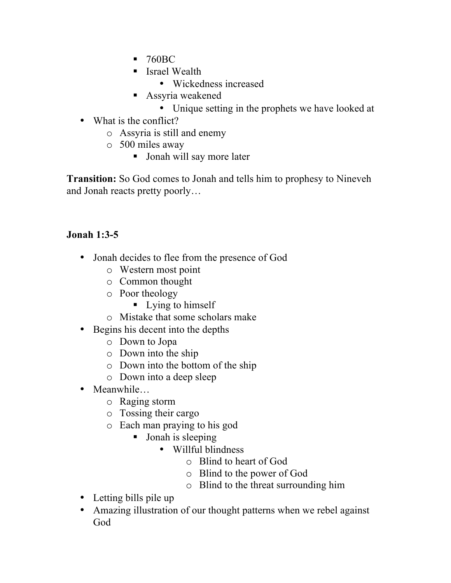- 760BC
- Israel Wealth
	- Wickedness increased
- § Assyria weakened
	- Unique setting in the prophets we have looked at
- What is the conflict?
	- o Assyria is still and enemy
	- o 500 miles away
		- Jonah will say more later

**Transition:** So God comes to Jonah and tells him to prophesy to Nineveh and Jonah reacts pretty poorly…

# **Jonah 1:3-5**

- Jonah decides to flee from the presence of God
	- o Western most point
	- o Common thought
	- o Poor theology
		- Lying to himself
	- o Mistake that some scholars make
- Begins his decent into the depths
	- o Down to Jopa
	- o Down into the ship
	- o Down into the bottom of the ship
	- o Down into a deep sleep
- Meanwhile…
	- o Raging storm
	- o Tossing their cargo
	- o Each man praying to his god
		- Jonah is sleeping
			- Willful blindness
				- o Blind to heart of God
				- o Blind to the power of God
				- o Blind to the threat surrounding him
- Letting bills pile up
- Amazing illustration of our thought patterns when we rebel against God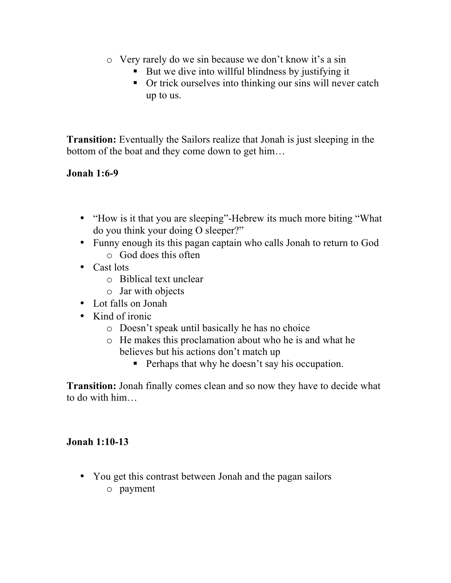- o Very rarely do we sin because we don't know it's a sin
	- But we dive into willful blindness by justifying it
	- Or trick ourselves into thinking our sins will never catch up to us.

**Transition:** Eventually the Sailors realize that Jonah is just sleeping in the bottom of the boat and they come down to get him…

## **Jonah 1:6-9**

- "How is it that you are sleeping"-Hebrew its much more biting "What do you think your doing O sleeper?"
- Funny enough its this pagan captain who calls Jonah to return to God o God does this often
- Cast lots
	- o Biblical text unclear
	- o Jar with objects
- Lot falls on Jonah
- Kind of ironic
	- o Doesn't speak until basically he has no choice
	- o He makes this proclamation about who he is and what he believes but his actions don't match up
		- Perhaps that why he doesn't say his occupation.

**Transition:** Jonah finally comes clean and so now they have to decide what to do with him…

# **Jonah 1:10-13**

• You get this contrast between Jonah and the pagan sailors o payment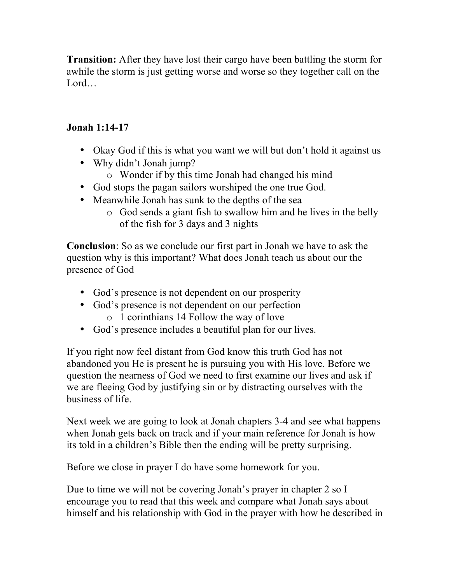**Transition:** After they have lost their cargo have been battling the storm for awhile the storm is just getting worse and worse so they together call on the Lord…

## **Jonah 1:14-17**

- Okay God if this is what you want we will but don't hold it against us
- Why didn't Jonah jump?
	- o Wonder if by this time Jonah had changed his mind
- God stops the pagan sailors worshiped the one true God.
- Meanwhile Jonah has sunk to the depths of the sea
	- o God sends a giant fish to swallow him and he lives in the belly of the fish for 3 days and 3 nights

**Conclusion**: So as we conclude our first part in Jonah we have to ask the question why is this important? What does Jonah teach us about our the presence of God

- God's presence is not dependent on our prosperity
- God's presence is not dependent on our perfection o 1 corinthians 14 Follow the way of love
- God's presence includes a beautiful plan for our lives.

If you right now feel distant from God know this truth God has not abandoned you He is present he is pursuing you with His love. Before we question the nearness of God we need to first examine our lives and ask if we are fleeing God by justifying sin or by distracting ourselves with the business of life.

Next week we are going to look at Jonah chapters 3-4 and see what happens when Jonah gets back on track and if your main reference for Jonah is how its told in a children's Bible then the ending will be pretty surprising.

Before we close in prayer I do have some homework for you.

Due to time we will not be covering Jonah's prayer in chapter 2 so I encourage you to read that this week and compare what Jonah says about himself and his relationship with God in the prayer with how he described in